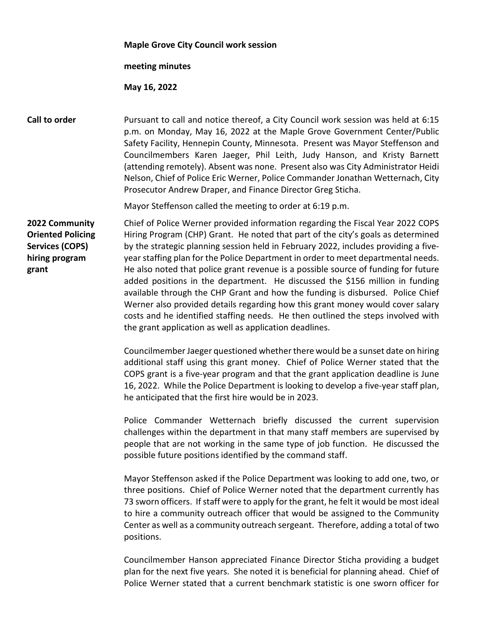|                                                                                                 | <b>Maple Grove City Council work session</b>                                                                                                                                                                                                                                                                                                                                                                                                                                                                                                                                                                                                                                                                                                                                                                                             |
|-------------------------------------------------------------------------------------------------|------------------------------------------------------------------------------------------------------------------------------------------------------------------------------------------------------------------------------------------------------------------------------------------------------------------------------------------------------------------------------------------------------------------------------------------------------------------------------------------------------------------------------------------------------------------------------------------------------------------------------------------------------------------------------------------------------------------------------------------------------------------------------------------------------------------------------------------|
|                                                                                                 | meeting minutes                                                                                                                                                                                                                                                                                                                                                                                                                                                                                                                                                                                                                                                                                                                                                                                                                          |
|                                                                                                 | May 16, 2022                                                                                                                                                                                                                                                                                                                                                                                                                                                                                                                                                                                                                                                                                                                                                                                                                             |
| Call to order                                                                                   | Pursuant to call and notice thereof, a City Council work session was held at 6:15<br>p.m. on Monday, May 16, 2022 at the Maple Grove Government Center/Public<br>Safety Facility, Hennepin County, Minnesota. Present was Mayor Steffenson and<br>Councilmembers Karen Jaeger, Phil Leith, Judy Hanson, and Kristy Barnett<br>(attending remotely). Absent was none. Present also was City Administrator Heidi<br>Nelson, Chief of Police Eric Werner, Police Commander Jonathan Wetternach, City<br>Prosecutor Andrew Draper, and Finance Director Greg Sticha.                                                                                                                                                                                                                                                                         |
|                                                                                                 | Mayor Steffenson called the meeting to order at 6:19 p.m.                                                                                                                                                                                                                                                                                                                                                                                                                                                                                                                                                                                                                                                                                                                                                                                |
| 2022 Community<br><b>Oriented Policing</b><br><b>Services (COPS)</b><br>hiring program<br>grant | Chief of Police Werner provided information regarding the Fiscal Year 2022 COPS<br>Hiring Program (CHP) Grant. He noted that part of the city's goals as determined<br>by the strategic planning session held in February 2022, includes providing a five-<br>year staffing plan for the Police Department in order to meet departmental needs.<br>He also noted that police grant revenue is a possible source of funding for future<br>added positions in the department. He discussed the \$156 million in funding<br>available through the CHP Grant and how the funding is disbursed. Police Chief<br>Werner also provided details regarding how this grant money would cover salary<br>costs and he identified staffing needs. He then outlined the steps involved with<br>the grant application as well as application deadlines. |
|                                                                                                 | Councilmember Jaeger questioned whether there would be a sunset date on hiring<br>additional staff using this grant money. Chief of Police Werner stated that the<br>COPS grant is a five-year program and that the grant application deadline is June<br>16, 2022. While the Police Department is looking to develop a five-year staff plan,<br>he anticipated that the first hire would be in 2023.                                                                                                                                                                                                                                                                                                                                                                                                                                    |
|                                                                                                 | Police Commander Wetternach briefly discussed the current supervision<br>challenges within the department in that many staff members are supervised by<br>people that are not working in the same type of job function. He discussed the<br>possible future positions identified by the command staff.                                                                                                                                                                                                                                                                                                                                                                                                                                                                                                                                   |
|                                                                                                 | Mayor Steffenson asked if the Police Department was looking to add one, two, or<br>three positions. Chief of Police Werner noted that the department currently has<br>73 sworn officers. If staff were to apply for the grant, he felt it would be most ideal<br>to hire a community outreach officer that would be assigned to the Community<br>Center as well as a community outreach sergeant. Therefore, adding a total of two<br>positions.                                                                                                                                                                                                                                                                                                                                                                                         |
|                                                                                                 | Councilmember Hanson appreciated Finance Director Sticha providing a budget<br>plan for the next five years. She noted it is beneficial for planning ahead. Chief of<br>Police Werner stated that a current benchmark statistic is one sworn officer for                                                                                                                                                                                                                                                                                                                                                                                                                                                                                                                                                                                 |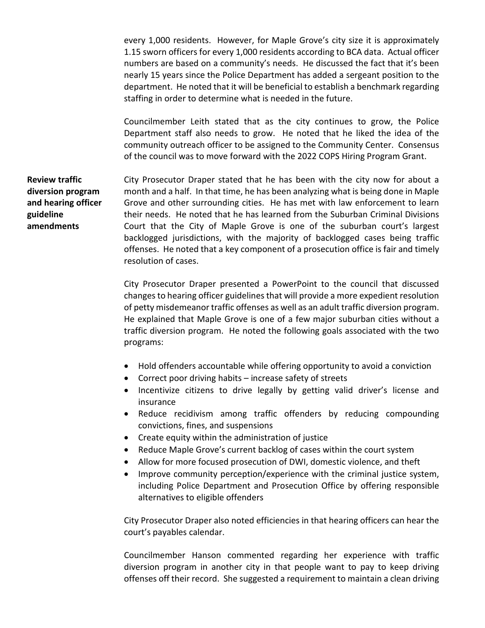every 1,000 residents. However, for Maple Grove's city size it is approximately 1.15 sworn officers for every 1,000 residents according to BCA data. Actual officer numbers are based on a community's needs. He discussed the fact that it's been nearly 15 years since the Police Department has added a sergeant position to the department. He noted that it will be beneficial to establish a benchmark regarding staffing in order to determine what is needed in the future.

Councilmember Leith stated that as the city continues to grow, the Police Department staff also needs to grow. He noted that he liked the idea of the community outreach officer to be assigned to the Community Center. Consensus of the council was to move forward with the 2022 COPS Hiring Program Grant.

**Review traffic diversion program and hearing officer guideline amendments** City Prosecutor Draper stated that he has been with the city now for about a month and a half. In that time, he has been analyzing what is being done in Maple Grove and other surrounding cities. He has met with law enforcement to learn their needs. He noted that he has learned from the Suburban Criminal Divisions Court that the City of Maple Grove is one of the suburban court's largest backlogged jurisdictions, with the majority of backlogged cases being traffic offenses. He noted that a key component of a prosecution office is fair and timely resolution of cases.

> City Prosecutor Draper presented a PowerPoint to the council that discussed changes to hearing officer guidelines that will provide a more expedient resolution of petty misdemeanor traffic offenses as well as an adult traffic diversion program. He explained that Maple Grove is one of a few major suburban cities without a traffic diversion program. He noted the following goals associated with the two programs:

- Hold offenders accountable while offering opportunity to avoid a conviction
- Correct poor driving habits increase safety of streets
- Incentivize citizens to drive legally by getting valid driver's license and insurance
- Reduce recidivism among traffic offenders by reducing compounding convictions, fines, and suspensions
- Create equity within the administration of justice
- Reduce Maple Grove's current backlog of cases within the court system
- Allow for more focused prosecution of DWI, domestic violence, and theft
- Improve community perception/experience with the criminal justice system, including Police Department and Prosecution Office by offering responsible alternatives to eligible offenders

City Prosecutor Draper also noted efficiencies in that hearing officers can hear the court's payables calendar.

Councilmember Hanson commented regarding her experience with traffic diversion program in another city in that people want to pay to keep driving offenses off their record. She suggested a requirement to maintain a clean driving